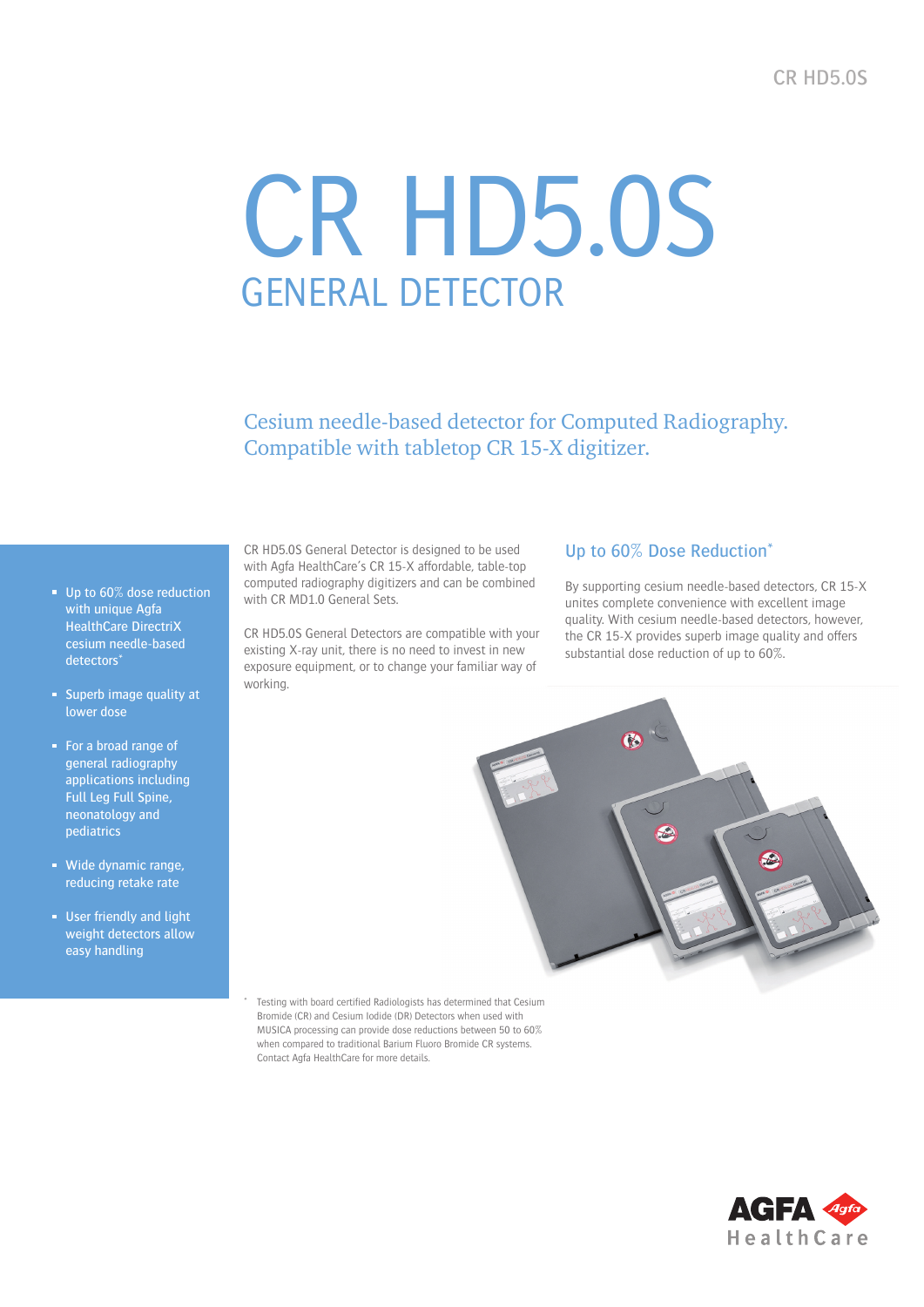# CR HD5.0S GENERAL DETECTOR

Cesium needle-based detector for Computed Radiography. Compatible with tabletop CR 15-X digitizer.

- Up to 60% dose reduction with unique Agfa HealthCare DirectriX cesium needle-based detectors<sup>\*</sup>
- **Superb image quality at** lower dose
- For a broad range of general radiography applications including Full Leg Full Spine, neonatology and pediatrics
- Wide dynamic range, reducing retake rate
- User friendly and light weight detectors allow easy handling

CR HD5.0S General Detector is designed to be used with Agfa HealthCare's CR 15-X affordable, table-top computed radiography digitizers and can be combined with CR MD1.0 General Sets.

CR HD5.0S General Detectors are compatible with your existing X-ray unit, there is no need to invest in new exposure equipment, or to change your familiar way of working.

# Up to 60% Dose Reduction\*

By supporting cesium needle-based detectors, CR 15-X unites complete convenience with excellent image quality. With cesium needle-based detectors, however, the CR 15-X provides superb image quality and offers substantial dose reduction of up to 60%.



Testing with board certified Radiologists has determined that Cesium Bromide (CR) and Cesium Iodide (DR) Detectors when used with MUSICA processing can provide dose reductions between 50 to 60% when compared to traditional Barium Fluoro Bromide CR systems. Contact Agfa HealthCare for more details.

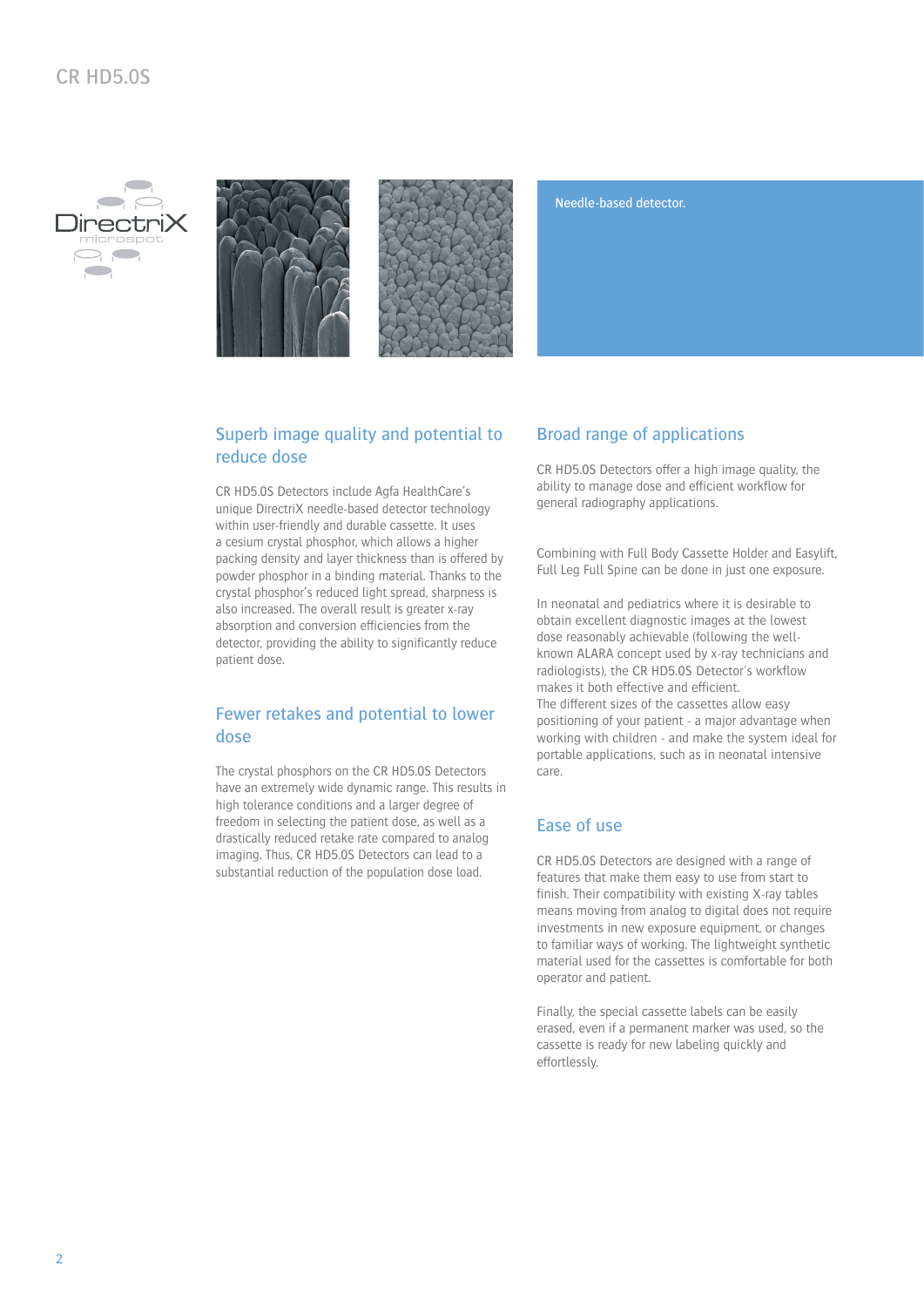





Needle-based detector.

# Superb image quality and potential to reduce dose

CR HD5.0S Detectors include Agfa HealthCare's unique DirectriX needle-based detector technology within user-friendly and durable cassette. It uses a cesium crystal phosphor, which allows a higher packing density and layer thickness than is offered by powder phosphor in a binding material. Thanks to the crystal phosphor's reduced light spread, sharpness is also increased. The overall result is greater x-ray absorption and conversion efficiencies from the detector, providing the ability to significantly reduce patient dose.

## Fewer retakes and potential to lower dose

The crystal phosphors on the CR HD5.0S Detectors have an extremely wide dynamic range. This results in high tolerance conditions and a larger degree of freedom in selecting the patient dose, as well as a drastically reduced retake rate compared to analog imaging. Thus, CR HD5.0S Detectors can lead to a substantial reduction of the population dose load.

## Broad range of applications

CR HD5.0S Detectors offer a high image quality, the ability to manage dose and efficient workflow for general radiography applications.

Combining with Full Body Cassette Holder and Easylift, Full Leg Full Spine can be done in just one exposure.

In neonatal and pediatrics where it is desirable to obtain excellent diagnostic images at the lowest dose reasonably achievable (following the wellknown ALARA concept used by x-ray technicians and radiologists), the CR HD5.0S Detector's workflow makes it both effective and efficient. The different sizes of the cassettes allow easy positioning of your patient - a major advantage when working with children - and make the system ideal for portable applications, such as in neonatal intensive care.

# Ease of use

CR HD5.0S Detectors are designed with a range of features that make them easy to use from start to finish. Their compatibility with existing X-ray tables means moving from analog to digital does not require investments in new exposure equipment, or changes to familiar ways of working. The lightweight synthetic material used for the cassettes is comfortable for both operator and patient.

Finally, the special cassette labels can be easily erased, even if a permanent marker was used, so the cassette is ready for new labeling quickly and effortlessly.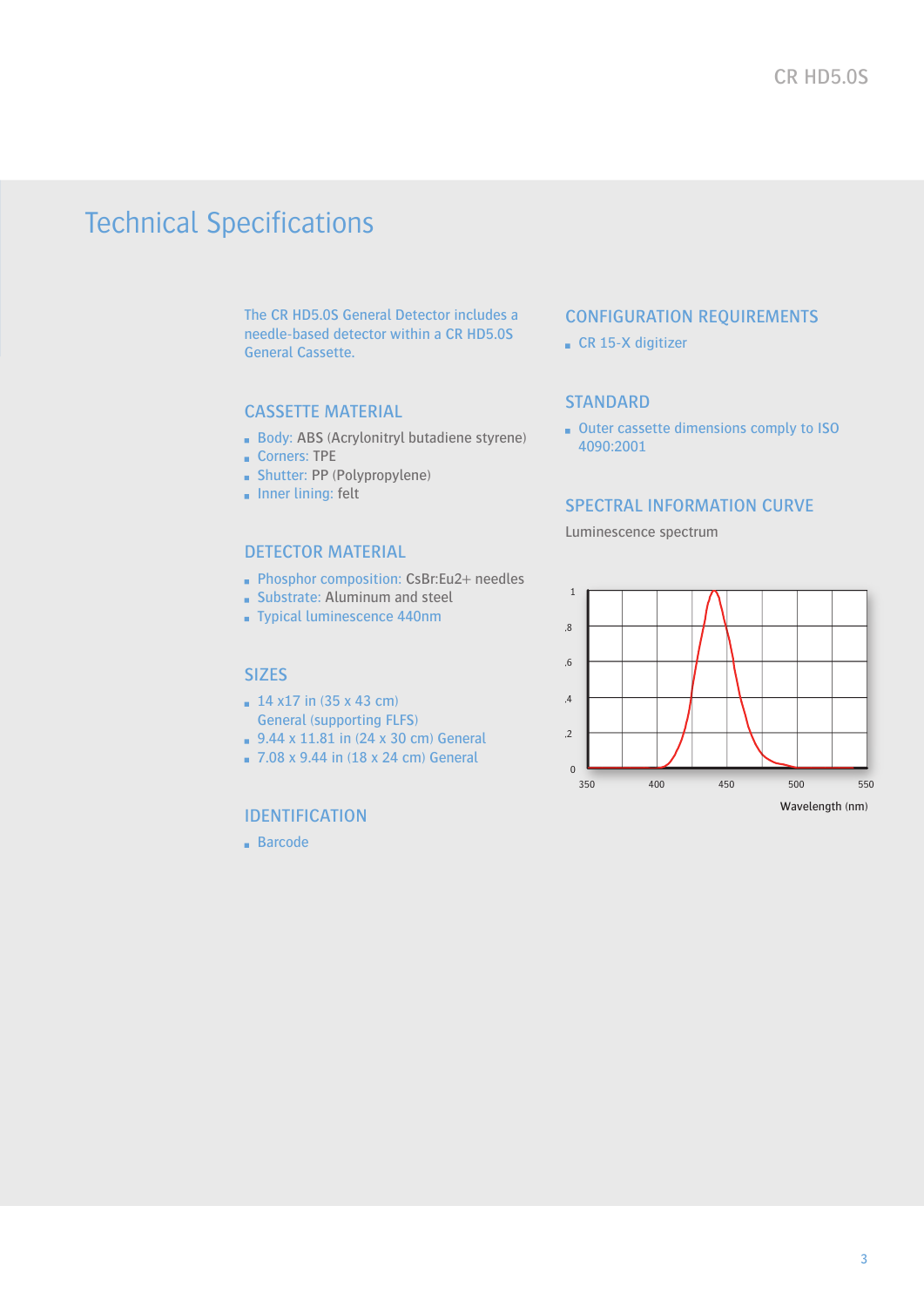# **Technical Specifications**

The CR HD5.0S General Detector includes a needle-based detector within a CR HD5.0S **General Cassette.** 

#### **CASSETTE MATERIAL**

- Body: ABS (Acrylonitryl butadiene styrene)
- Corners: TPE
- Shutter: PP (Polypropylene)
- Inner lining: felt

#### **DETECTOR MATERIAL**

- Phosphor composition: CsBr:Eu2+ needles
- Substrate: Aluminum and steel
- Typical luminescence 440nm

#### **SIZES**

- $\pm$  14 x17 in (35 x 43 cm) **General (supporting FLFS)**
- 9.44 x 11.81 in (24 x 30 cm) General
- 7.08 x 9.44 in (18 x 24 cm) General

#### **IDENTIFICATION**

**Barcode** 

# **CONFIGURATION REQUIREMENTS**

■ CR 15-X digitizer

#### **STANDARD**

**Quier cassette dimensions comply to ISO** 4090:2001

#### **SPECTRAL INFORMATION CURVE**

Luminescence spectrum